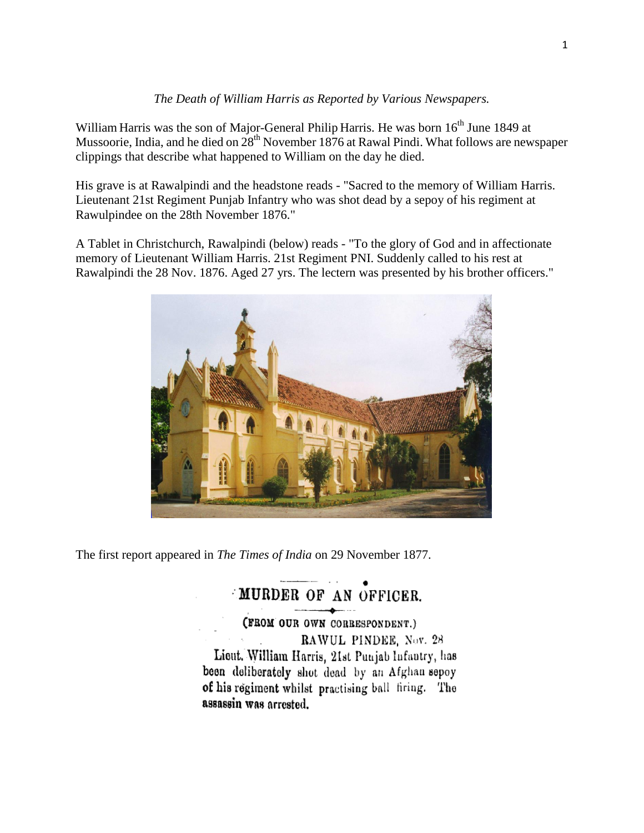### *The Death of William Harris as Reported by Various Newspapers.*

William Harris was the son of Major-General Philip Harris. He was born 16<sup>th</sup> June 1849 at Mussoorie, India, and he died on  $28<sup>th</sup>$  November 1876 at Rawal Pindi. What follows are newspaper clippings that describe what happened to William on the day he died.

His grave is at Rawalpindi and the headstone reads - "Sacred to the memory of William Harris. Lieutenant 21st Regiment Punjab Infantry who was shot dead by a sepoy of his regiment at Rawulpindee on the 28th November 1876."

A Tablet in Christchurch, Rawalpindi (below) reads - "To the glory of God and in affectionate memory of Lieutenant William Harris. 21st Regiment PNI. Suddenly called to his rest at Rawalpindi the 28 Nov. 1876. Aged 27 yrs. The lectern was presented by his brother officers."



The first report appeared in *The Times of India* on 29 November 1877.

# MURDER OF AN OFFICER.

(FROM OUR OWN CORRESPONDENT.) RAWUL PINDEE, Nov. 28 Lieut. William Harris, 21st Punjab Infantry, has been deliberately shot dead by an Afghan sepoy of his regiment whilst practising ball firing. The assassin was arrested.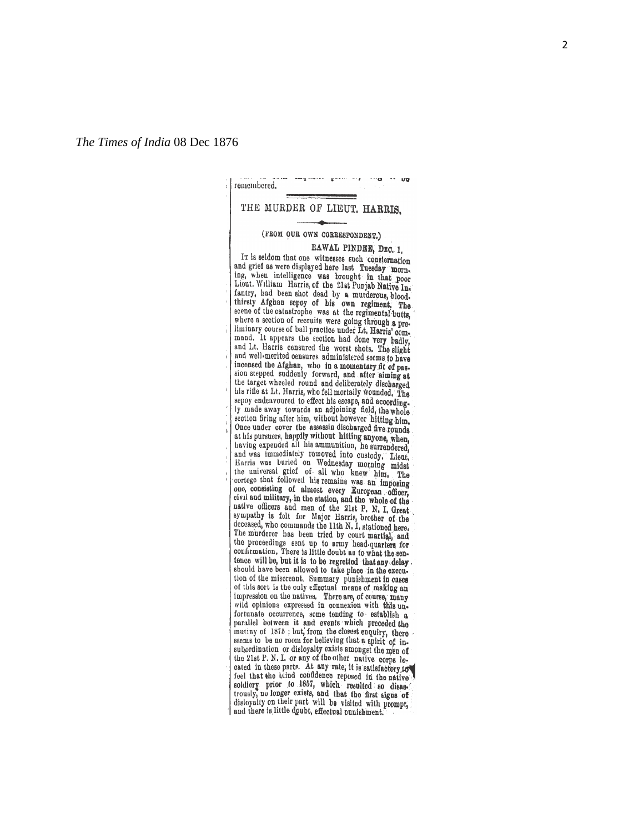### **up** remembered. THE MURDER OF LIEUT, HARRIS. (FROM OUR OWN CORRESPONDENT.) RAWAL PINDEE, DEC. 1. IT is seldom that one witnesses such consternation and grief as were displayed here last Tuesday morning, when intelligence was brought in that poor Lieut. William Harris, of the 21st Punjab Native Infantry, had been shot dead by a murderous, blood. thirsty Afghan sepoy of his own regiment. The unraty Arguan sepoy of his own regiment, The<br>seene of the catastrophe was at the regimental butts,<br>where a section of recruits were going through a pre-<br>liminary course of ball practice under Lt, Harris' com-<br>and the proce mand. It appears the section had done very badly, and Lt. Harris censured the worst shots. The slight and well-merited censures administered seems to have inconsect the Afghan, who in a momentary fit of passion stepped suddenly forward, and after siming at the target wheeled round and deliberately discharged his rifle at Lt. Harris, who fell mortally wounded. The sepoy endeavoured to effect his escape, and accordingsection firing after him, without however hitting him. Once under cover the assassin discharged five rounds at his pursuers, happily without hitting anyone, when, having expended all his ammunition, he surrendered. naving expended an maximumition, he surrendered,<br>and was immediately removed into custody. Lient, Harris was humculated on Wednesday morning midst the muiversal grief of all who knew him, The cortege that followed his remains was an imposing correge may concoved his remains was an imposing<br>one, consisting of almost every European officer, civil and military, in the station, and the whole of the native officers and men of the 21st P. N. I. Great sympathy is felt for Major Harris, brother of the<br>decased, who commands the 11th N, I, stationed here. The murderer has been tried by court martial, and the proceedings eent up to army head-quarters for confirmation. There is little doubt as to what the sentence will be, but it is to be regretted that any delay. should have been allowed to take place in the execution of the miscreant. Summary punishment in cases of this sort is the only effectual means of making an impression on the natives. There are, of course, many wild opinions expressed in connexion with this unfortunate occurrence, some tending to establish a parallel between it and events which preceded the mutiny of 1875; but, from the closest enquiry, there ssems to be no room for believing that a spirit of insubordination or disloyalty exists amongst the men of the 21st P. N. I. or any of the other native corps lethe case in these parts. At any rate, it is satisfactory for<br>feel that the blind confidence reposed in the native<br>feel that the blind confidence reposed in the native<br>soldiery prior to 1857, which resulted so disast-<br>trous disloyalty on their part will be visited with prompt, and there is little doubt, effectual punishment.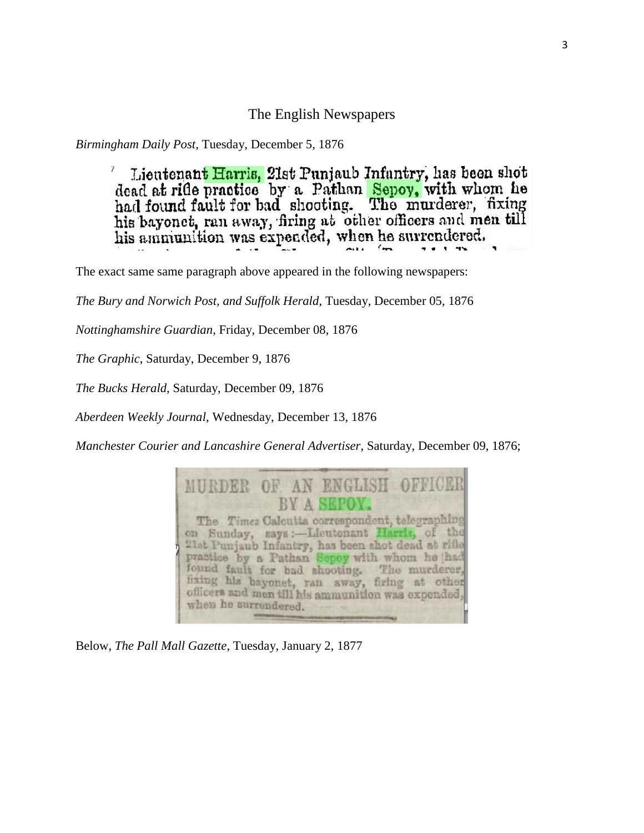### The English Newspapers

*Birmingham Daily Post*, Tuesday, December 5, 1876

Lieutenant Harris, 21st Punjaub Infantry, has been shot dead at rifle practice by a Pathan Sepoy, with whom he had found fault for bad shooting. The murderer, fixing his bayonet, ran away, firing at other officers and men till his ammiunition was expended, when he surrendered.

The exact same same paragraph above appeared in the following newspapers:

*The Bury and Norwich Post, and Suffolk Herald*, Tuesday, December 05, 1876

*Nottinghamshire Guardian*, Friday, December 08, 1876

*The Graphic*, Saturday, December 9, 1876

*The Bucks Herald,* Saturday, December 09, 1876

*Aberdeen Weekly Journal*, Wednesday, December 13, 1876

*Manchester Courier and Lancashire General Advertiser*, Saturday, December 09, 1876;



Below, *The Pall Mall Gazette*, Tuesday, January 2, 1877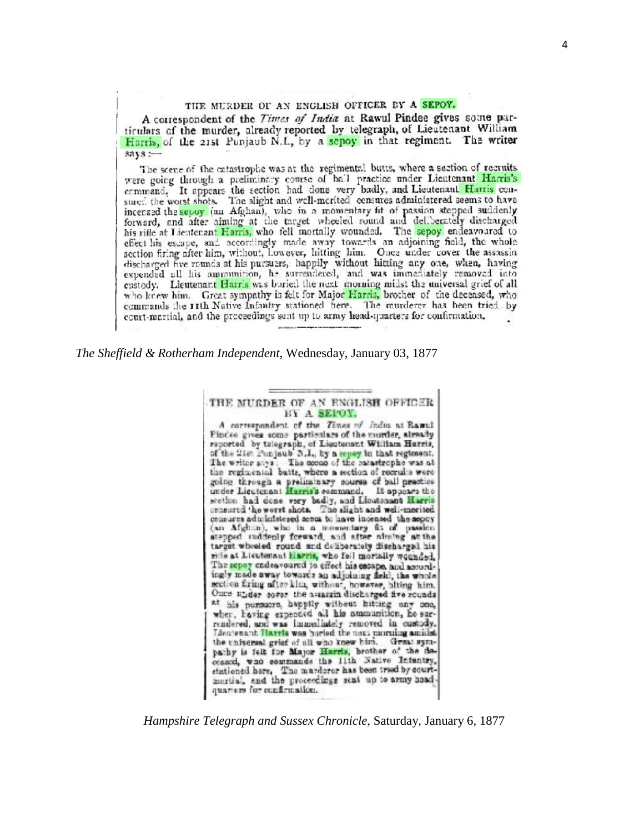### THE MURDER OF AN ENGLISH OFFICER BY A SEPOY.

A correspondent of the Times of India at Rawul Pindee gives some particulars of the murder, already reported by telegraph, of Lieutenant William Harris, of the 21st Punjaub N.L., by a sepoy in that regiment. The writer  $says:$ 

The scene of the catastrophe was at the regimental butts, where a section of recruits were going through a preliminary course of ball practice under Lieutenant Harris's command. It appears the section had done very badly, and Lieutenant Harris consured the worst shots. The slight and well-merited censures administered seems to have incensed the sepoy (an Afghan), who in a momentary fit of passion stepped suddenly forward, and after aiming at the target wheeled round and deliberately discharged his rifle at Lieutenant Harris, who fell mortally wounded. The sepoy endeavoured to effect his escape, and accordingly made away towards an adjoining field, the whole section firing after him, without, Lowever, hitting him. Once under cover the assassin discharged five rounds at his pursuers, happily without hitting any one, when, having expended all his ammunition, he surrendered, and was immediately removed into custody. Lieutenant Harris was buried the next morning midst the universal grief of all who knew him. Great sympathy is felt for Major Harris, brother of the deceased, who commands the rith Native Infantry stationed here. The murderer has been tried by court-martial, and the proceedings sent up to army head-quarters for confirmation,

*The Sheffield & Rotherham Independent*, Wednesday, January 03, 1877

#### THE MURDER OF AN ENGLISH OFFICER BY A SEPOY.

A correspondent of the Times of India at Rawel Findee gives some particulars of the murder, already reported by telegraph, of Lieutenant William Harris, of the 21st Punjaub N.I., by a report in that regiment. The writer says: The needs of the minstrophe was at the regimental batts, where a section of recruits were going through a preliminary course of ball prectice under Lieutenant Hurris's command. It appears the section had done very badly, and Lioutenant Harris consured the worst shots. The slight and well-merited censures administered seem to have incensed the sepox (an Afghan), who in a momentary fix of passion atepped raddenly forward, and atter alming at the target wheeled round and deliberately discharged his mile at Lisutenaut Harris, who fell mortally wounded. The sepoy cadeavoured to effect his corape, and accordingly made away towards an adjoining field, the whole section firing after kim, without, however, hiting him. Once under cover the assassin discharged five rounds at his pursuers, happily without hitting any one, wher, having expended all his nummanition, he sarrendered, and was immediately removed in custody. Lieutenant Harris was buried the next morning amidst. the universal grief of all who knew bim. Great sympathy is felt for Major Harris, brother of the deceased, was commands the lith Native Intentry, stationed here. The marderer has been tried by court-<br>martial, and the proceedings sent up to army headquarters for confirmation.

*Hampshire Telegraph and Sussex Chronicle*, Saturday, January 6, 1877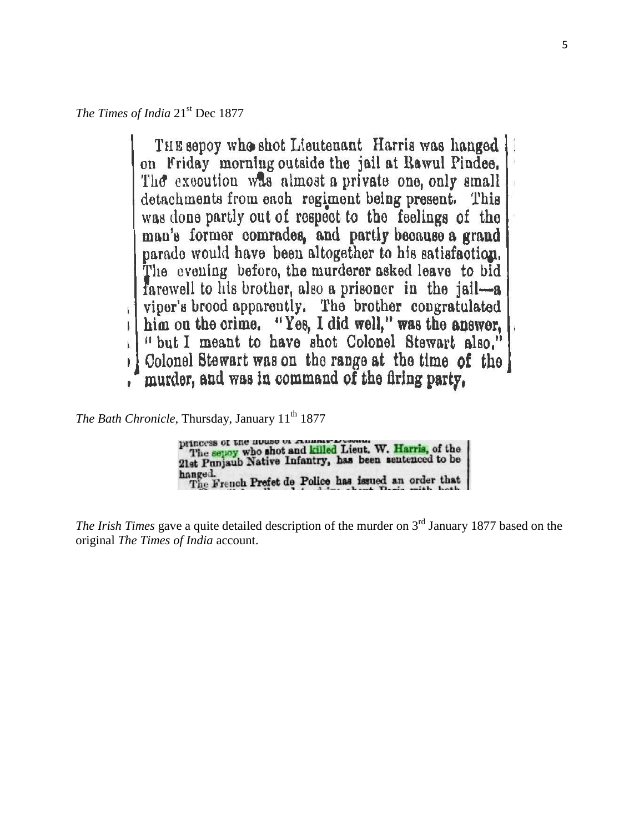*The Times of India* 21<sup>st</sup> Dec 1877

THE sepoy who shot Lieutenant Harris was hanged on Friday morning outside the jail at Rawul Pindee. The execution was almost a private one, only small detachments from each regiment being present. This was done partly out of respect to the feelings of the man's former comrades, and partly because a grand parade would have been altogether to his satisfaction. The evening before, the murderer asked leave to bid farewell to his brother, also a prisoner in the jail-a viper's brood apparently. The brother congratulated him on the crime. "Yes, I did well," was the answer, "but I meant to have shot Colonel Stewart also." Colonel Stewart was on the range at the time of the murder, and was in command of the firing party,

*The Bath Chronicle*, Thursday, January 11<sup>th</sup> 1877

| DIIncess of the nouse or remembersement.<br>The sepay who shot and killed Lieut. W. Harris, of the<br>21st Punjaub Native Infantry, has been sentenced to be |  |
|--------------------------------------------------------------------------------------------------------------------------------------------------------------|--|
| hanged.<br>The French Prefet de Police has issued an order that                                                                                              |  |

*The Irish Times* gave a quite detailed description of the murder on 3<sup>rd</sup> January 1877 based on the original *The Times of India* account.